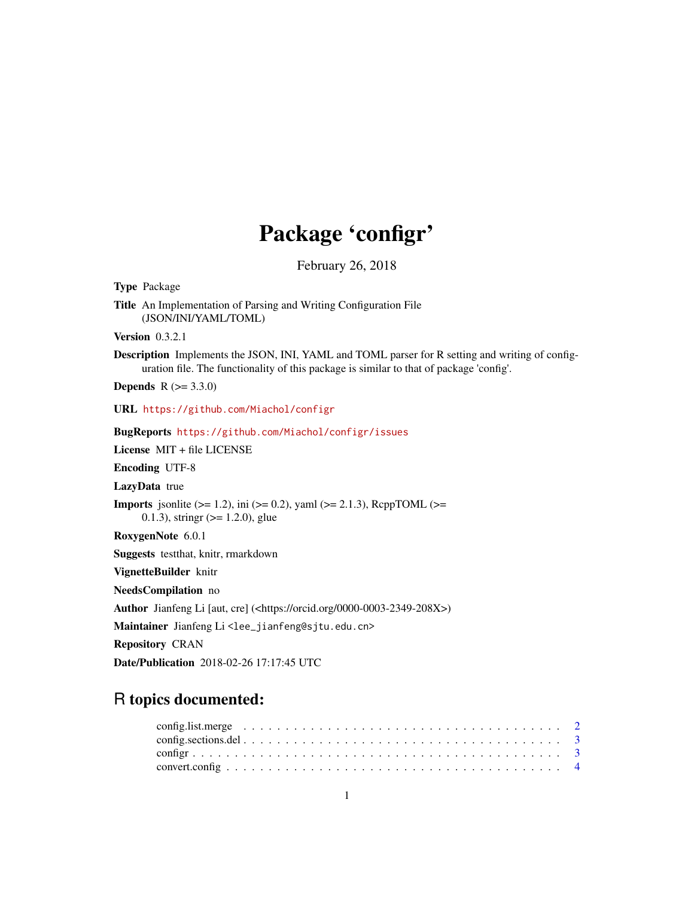# Package 'configr'

February 26, 2018

<span id="page-0-0"></span>Type Package Title An Implementation of Parsing and Writing Configuration File (JSON/INI/YAML/TOML) Version 0.3.2.1 Description Implements the JSON, INI, YAML and TOML parser for R setting and writing of configuration file. The functionality of this package is similar to that of package 'config'. **Depends** R  $(>= 3.3.0)$ URL <https://github.com/Miachol/configr> BugReports <https://github.com/Miachol/configr/issues> License MIT + file LICENSE Encoding UTF-8 LazyData true **Imports** jsonlite ( $>= 1.2$ ), ini ( $>= 0.2$ ), yaml ( $>= 2.1.3$ ), RcppTOML ( $>= 1.2$ ) 0.1.3), stringr  $(>= 1.2.0)$ , glue RoxygenNote 6.0.1 Suggests testthat, knitr, rmarkdown VignetteBuilder knitr NeedsCompilation no Author Jianfeng Li [aut, cre] (<https://orcid.org/0000-0003-2349-208X>) Maintainer Jianfeng Li<lee\_jianfeng@sjtu.edu.cn> Repository CRAN Date/Publication 2018-02-26 17:17:45 UTC

## R topics documented: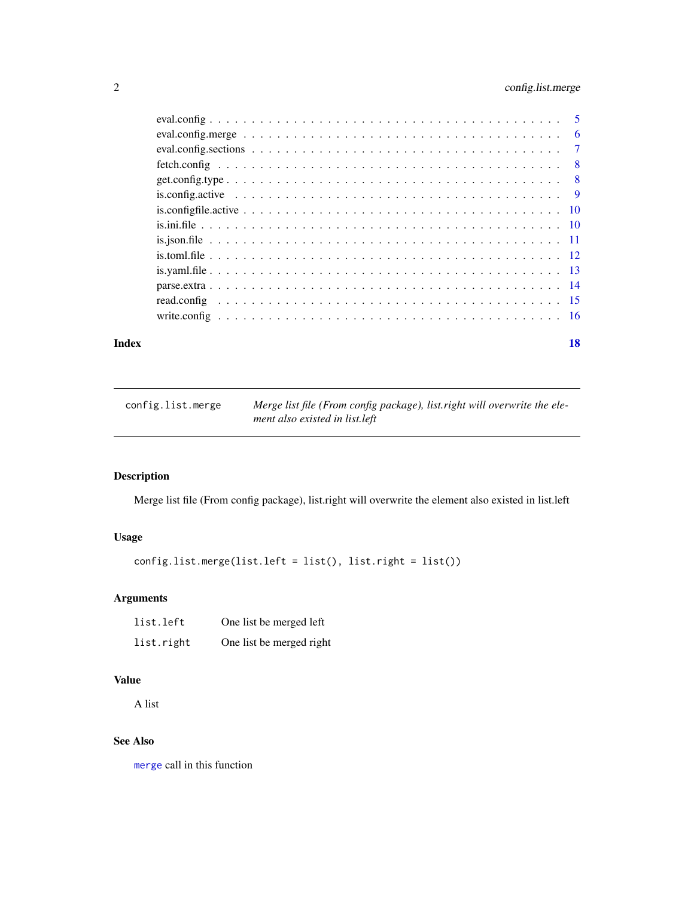## <span id="page-1-0"></span>2 config.list.merge

| eval.config.merge $\dots \dots \dots \dots \dots \dots \dots \dots \dots \dots \dots \dots \dots \dots \dots \dots$ |  |
|---------------------------------------------------------------------------------------------------------------------|--|
|                                                                                                                     |  |
|                                                                                                                     |  |
|                                                                                                                     |  |
|                                                                                                                     |  |
|                                                                                                                     |  |
|                                                                                                                     |  |
|                                                                                                                     |  |
|                                                                                                                     |  |
|                                                                                                                     |  |
|                                                                                                                     |  |
|                                                                                                                     |  |
|                                                                                                                     |  |
|                                                                                                                     |  |

## **Index** 2008 **[18](#page-17-0)**

| config.list.merge | Merge list file (From config package), list right will overwrite the ele- |
|-------------------|---------------------------------------------------------------------------|
|                   | ment also existed in list.left                                            |

## Description

Merge list file (From config package), list.right will overwrite the element also existed in list.left

## Usage

```
config.list.merge(list.left = list(), list.right = list())
```
## Arguments

| list.left  | One list be merged left  |
|------------|--------------------------|
| list.right | One list be merged right |

## Value

A list

## See Also

[merge](#page-0-0) call in this function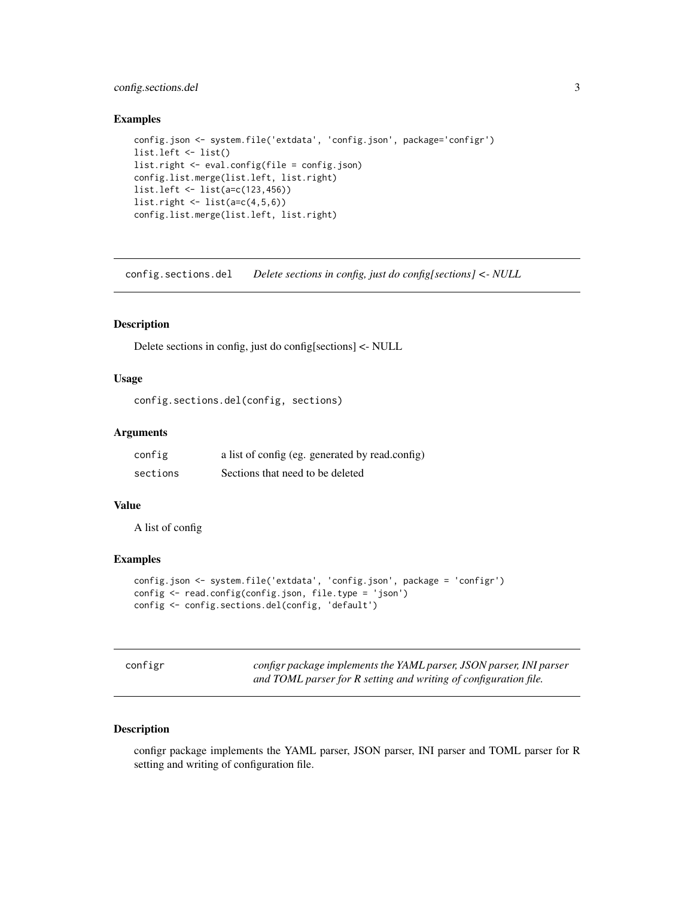## <span id="page-2-0"></span>config.sections.del 3

#### Examples

```
config.json <- system.file('extdata', 'config.json', package='configr')
list.left <- list()
list.right <- eval.config(file = config.json)
config.list.merge(list.left, list.right)
list.left <- list(a=c(123,456))
list.right \leftarrow list(a=c(4,5,6))
config.list.merge(list.left, list.right)
```
config.sections.del *Delete sections in config, just do config[sections] <- NULL*

## Description

Delete sections in config, just do config[sections] <- NULL

#### Usage

config.sections.del(config, sections)

#### Arguments

| config   | a list of config (eg. generated by read.config) |
|----------|-------------------------------------------------|
| sections | Sections that need to be deleted                |

#### Value

A list of config

## Examples

```
config.json <- system.file('extdata', 'config.json', package = 'configr')
config <- read.config(config.json, file.type = 'json')
config <- config.sections.del(config, 'default')
```

| configr | configr package implements the YAML parser, JSON parser, INI parser |
|---------|---------------------------------------------------------------------|
|         | and TOML parser for R setting and writing of configuration file.    |

## Description

configr package implements the YAML parser, JSON parser, INI parser and TOML parser for R setting and writing of configuration file.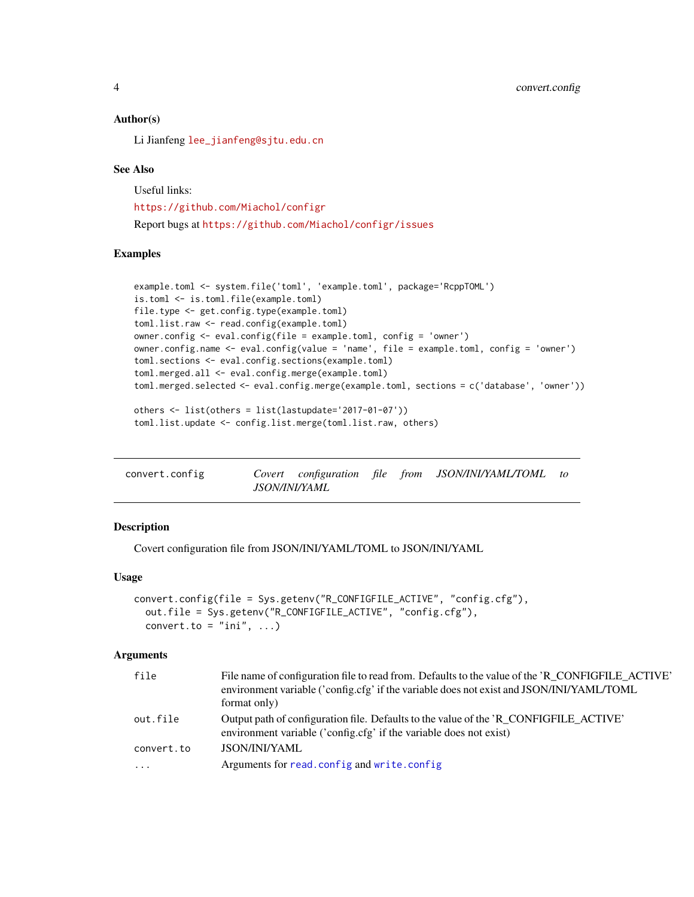#### <span id="page-3-0"></span>Author(s)

Li Jianfeng [lee\\_jianfeng@sjtu.edu.cn](lee_jianfeng@sjtu.edu.cn)

#### See Also

Useful links:

<https://github.com/Miachol/configr> Report bugs at <https://github.com/Miachol/configr/issues>

#### Examples

```
example.toml <- system.file('toml', 'example.toml', package='RcppTOML')
is.toml <- is.toml.file(example.toml)
file.type <- get.config.type(example.toml)
toml.list.raw <- read.config(example.toml)
owner.config <- eval.config(file = example.toml, config = 'owner')
owner.config.name <- eval.config(value = 'name', file = example.toml, config = 'owner')
toml.sections <- eval.config.sections(example.toml)
toml.merged.all <- eval.config.merge(example.toml)
toml.merged.selected <- eval.config.merge(example.toml, sections = c('database', 'owner'))
others <- list(others = list(lastupdate='2017-01-07'))
toml.list.update <- config.list.merge(toml.list.raw, others)
```

| convert.config |                      |  | Covert configuration file from JSON/INI/YAML/TOML | $\overline{t}$ |
|----------------|----------------------|--|---------------------------------------------------|----------------|
|                | <i>JSON/INI/YAML</i> |  |                                                   |                |

## Description

Covert configuration file from JSON/INI/YAML/TOML to JSON/INI/YAML

## Usage

```
convert.config(file = Sys.getenv("R_CONFIGFILE_ACTIVE", "config.cfg"),
 out.file = Sys.getenv("R_CONFIGFILE_ACTIVE", "config.cfg"),
 convert.to = "ini", ...)
```
## Arguments

| file       | File name of configuration file to read from. Defaults to the value of the 'R_CONFIGFILE_ACTIVE'<br>environment variable ('config.cfg' if the variable does not exist and JSON/INI/YAML/TOML |
|------------|----------------------------------------------------------------------------------------------------------------------------------------------------------------------------------------------|
|            | format only)                                                                                                                                                                                 |
| out.file   | Output path of configuration file. Defaults to the value of the 'R_CONFIGFILE_ACTIVE'<br>environment variable ('config.cfg' if the variable does not exist)                                  |
| convert.to | <b>JSON/INI/YAML</b>                                                                                                                                                                         |
| $\cdots$   | Arguments for read.config and write.config                                                                                                                                                   |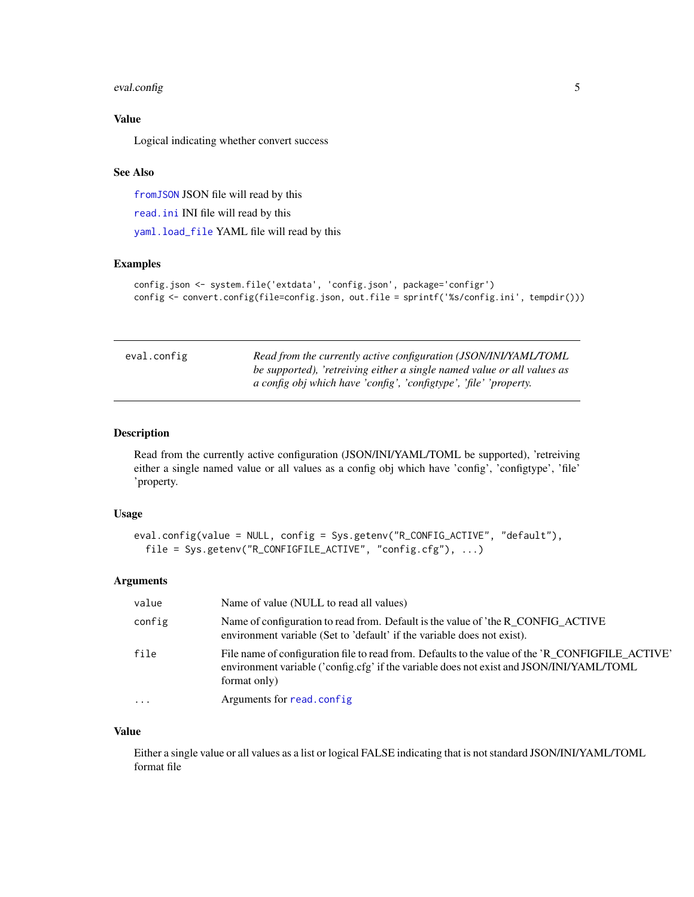## <span id="page-4-0"></span>eval.config 5

## Value

Logical indicating whether convert success

#### See Also

[fromJSON](#page-0-0) JSON file will read by this

[read.ini](#page-0-0) INI file will read by this

[yaml.load\\_file](#page-0-0) YAML file will read by this

## Examples

```
config.json <- system.file('extdata', 'config.json', package='configr')
config <- convert.config(file=config.json, out.file = sprintf('%s/config.ini', tempdir()))
```
<span id="page-4-1"></span>

| eval.config | Read from the currently active configuration (JSON/INI/YAML/TOML        |
|-------------|-------------------------------------------------------------------------|
|             | be supported), 'retreiving either a single named value or all values as |
|             | a config obj which have 'config', 'configtype', 'file' 'property.       |

#### Description

Read from the currently active configuration (JSON/INI/YAML/TOML be supported), 'retreiving either a single named value or all values as a config obj which have 'config', 'configtype', 'file' 'property.

#### Usage

```
eval.config(value = NULL, config = Sys.getenv("R_CONFIG_ACTIVE", "default"),
  file = Sys.getenv("R_CONFIGFILE_ACTIVE", "config.cfg"), ...)
```
## Arguments

| value     | Name of value (NULL to read all values)                                                                                                                                                                      |
|-----------|--------------------------------------------------------------------------------------------------------------------------------------------------------------------------------------------------------------|
| config    | Name of configuration to read from. Default is the value of 'the R_CONFIG_ACTIVE<br>environment variable (Set to 'default' if the variable does not exist).                                                  |
| file      | File name of configuration file to read from. Defaults to the value of the 'R_CONFIGFILE_ACTIVE'<br>environment variable ('config.cfg' if the variable does not exist and JSON/INI/YAML/TOML<br>format only) |
| $\ddotsc$ | Arguments for read.config.                                                                                                                                                                                   |

## Value

Either a single value or all values as a list or logical FALSE indicating that is not standard JSON/INI/YAML/TOML format file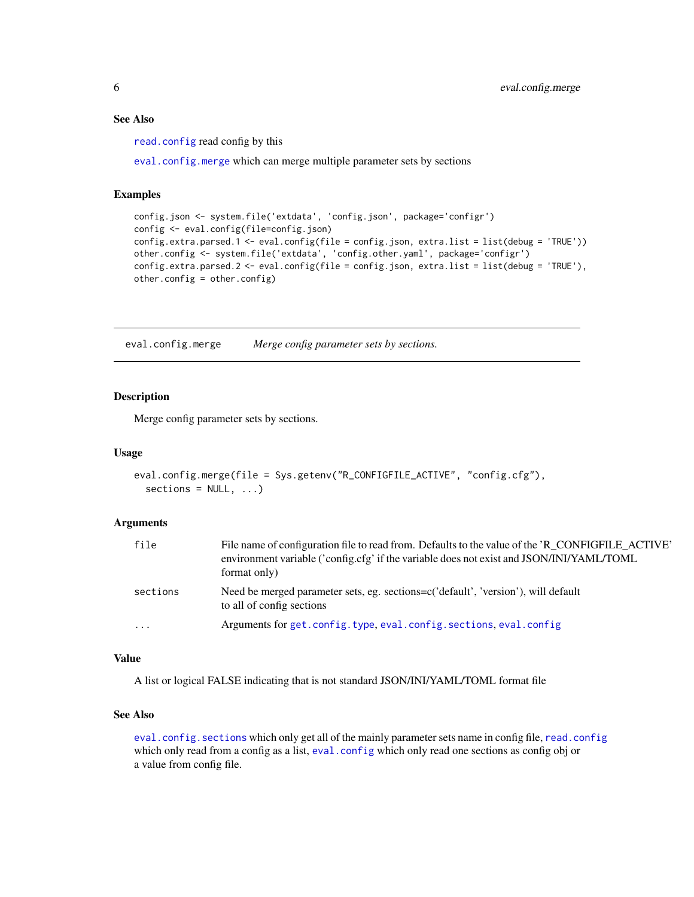#### <span id="page-5-0"></span>See Also

[read.config](#page-14-1) read config by this

[eval.config.merge](#page-5-1) which can merge multiple parameter sets by sections

#### Examples

```
config.json <- system.file('extdata', 'config.json', package='configr')
config <- eval.config(file=config.json)
config.extra.parsed.1 <- eval.config(file = config.json, extra.list = list(debug = 'TRUE'))
other.config <- system.file('extdata', 'config.other.yaml', package='configr')
config.extra.parsed.2 <- eval.config(file = config.json, extra.list = list(debug = 'TRUE'),
other.config = other.config)
```
<span id="page-5-1"></span>eval.config.merge *Merge config parameter sets by sections.*

#### Description

Merge config parameter sets by sections.

#### Usage

```
eval.config.merge(file = Sys.getenv("R_CONFIGFILE_ACTIVE", "config.cfg"),
  sections = NULL, ...)
```
#### Arguments

| file     | File name of configuration file to read from. Defaults to the value of the 'R_CONFIGFILE_ACTIVE'<br>environment variable ('config.cfg' if the variable does not exist and JSON/INI/YAML/TOML<br>format only) |
|----------|--------------------------------------------------------------------------------------------------------------------------------------------------------------------------------------------------------------|
| sections | Need be merged parameter sets, eg. sections=c('default', 'version'), will default<br>to all of config sections                                                                                               |
| .        | Arguments for get.config.type, eval.config.sections, eval.config                                                                                                                                             |

#### Value

A list or logical FALSE indicating that is not standard JSON/INI/YAML/TOML format file

#### See Also

[eval.config.sections](#page-6-1) which only get all of the mainly parameter sets name in config file, [read.config](#page-14-1) which only read from a config as a list, [eval.config](#page-4-1) which only read one sections as config obj or a value from config file.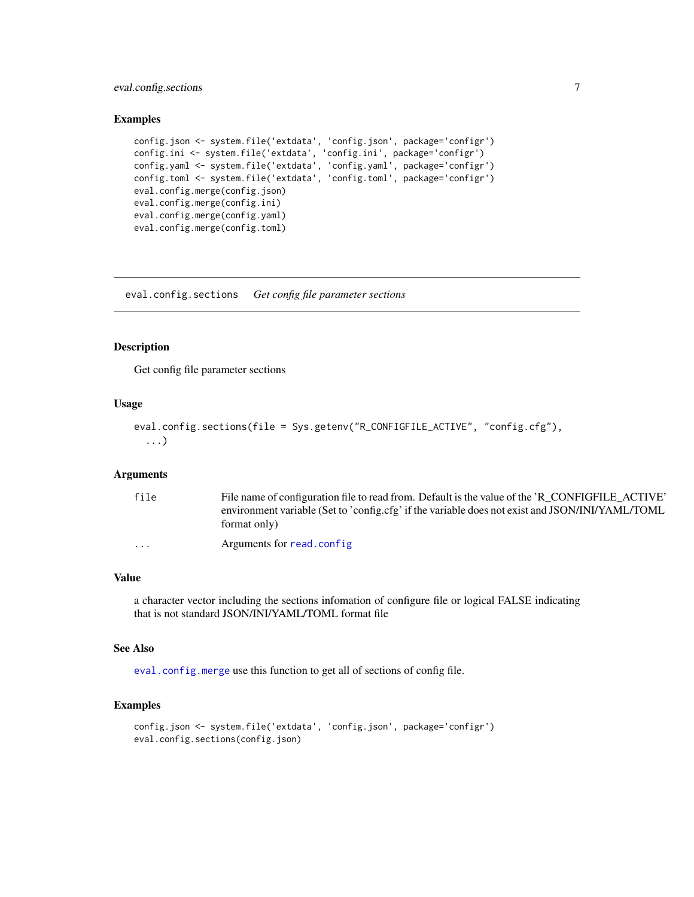## <span id="page-6-0"></span>eval.config.sections 7

#### Examples

```
config.json <- system.file('extdata', 'config.json', package='configr')
config.ini <- system.file('extdata', 'config.ini', package='configr')
config.yaml <- system.file('extdata', 'config.yaml', package='configr')
config.toml <- system.file('extdata', 'config.toml', package='configr')
eval.config.merge(config.json)
eval.config.merge(config.ini)
eval.config.merge(config.yaml)
eval.config.merge(config.toml)
```
<span id="page-6-1"></span>eval.config.sections *Get config file parameter sections*

#### Description

Get config file parameter sections

## Usage

```
eval.config.sections(file = Sys.getenv("R_CONFIGFILE_ACTIVE", "config.cfg"),
  ...)
```
#### Arguments

| file | File name of configuration file to read from. Default is the value of the 'R_CONFIGFILE_ACTIVE'<br>environment variable (Set to 'config.cfg' if the variable does not exist and JSON/INI/YAML/TOML<br>format only) |
|------|--------------------------------------------------------------------------------------------------------------------------------------------------------------------------------------------------------------------|
| .    | Arguments for read.config.                                                                                                                                                                                         |

#### Value

a character vector including the sections infomation of configure file or logical FALSE indicating that is not standard JSON/INI/YAML/TOML format file

#### See Also

[eval.config.merge](#page-5-1) use this function to get all of sections of config file.

```
config.json <- system.file('extdata', 'config.json', package='configr')
eval.config.sections(config.json)
```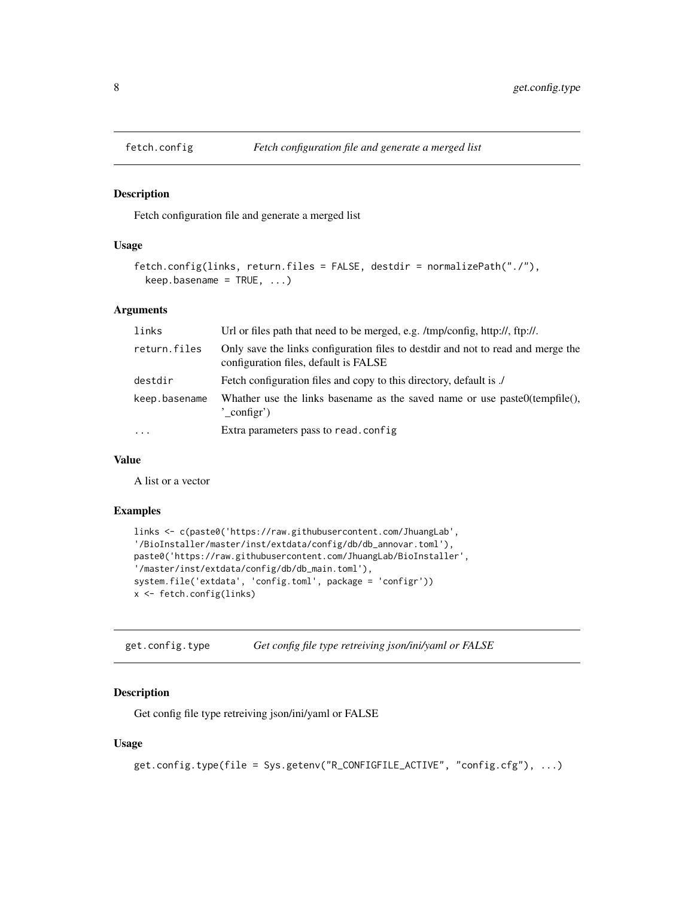#### Description

Fetch configuration file and generate a merged list

#### Usage

```
fetch.config(links, return.files = FALSE, destdir = normalizePath("./"),
  keep.basename = TRUE, ...)
```
#### **Arguments**

| links                   | Url or files path that need to be merged, e.g. /tmp/config, http://, ftp://.                                              |
|-------------------------|---------------------------------------------------------------------------------------------------------------------------|
| return.files            | Only save the links configuration files to destdir and not to read and merge the<br>configuration files, default is FALSE |
| destdir                 | Fetch configuration files and copy to this directory, default is ./                                                       |
| keep.basename           | Whather use the links basename as the saved name or use paste0(tempfile(),<br>configr')                                   |
| $\cdot$ $\cdot$ $\cdot$ | Extra parameters pass to read, config.                                                                                    |

#### Value

A list or a vector

## Examples

```
links <- c(paste0('https://raw.githubusercontent.com/JhuangLab',
'/BioInstaller/master/inst/extdata/config/db/db_annovar.toml'),
paste0('https://raw.githubusercontent.com/JhuangLab/BioInstaller',
'/master/inst/extdata/config/db/db_main.toml'),
system.file('extdata', 'config.toml', package = 'configr'))
x <- fetch.config(links)
```
<span id="page-7-1"></span>get.config.type *Get config file type retreiving json/ini/yaml or FALSE*

## Description

Get config file type retreiving json/ini/yaml or FALSE

#### Usage

```
get.config.type(file = Sys.getenv("R_CONFIGFILE_ACTIVE", "config.cfg"), ...)
```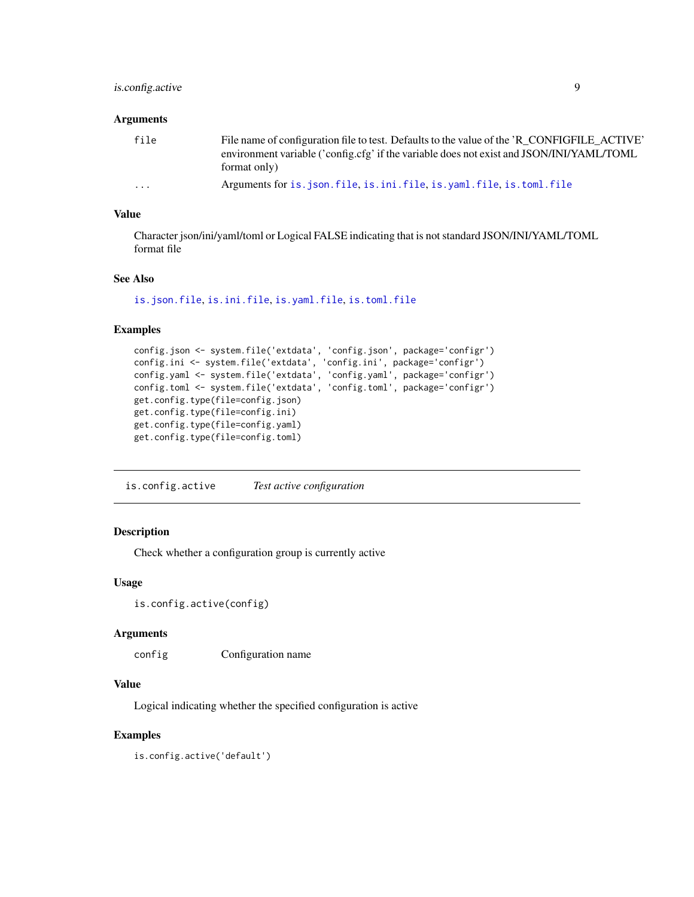## <span id="page-8-0"></span>is.config.active 9

#### **Arguments**

| file                    | File name of configuration file to test. Defaults to the value of the 'R_CONFIGFILE_ACTIVE'<br>environment variable ('config.cfg' if the variable does not exist and JSON/INI/YAML/TOML<br>format only) |
|-------------------------|---------------------------------------------------------------------------------------------------------------------------------------------------------------------------------------------------------|
| $\cdot$ $\cdot$ $\cdot$ | Arguments for is. json. file, is. ini. file, is. yaml. file, is. toml. file                                                                                                                             |

#### Value

Character json/ini/yaml/toml or Logical FALSE indicating that is not standard JSON/INI/YAML/TOML format file

## See Also

[is.json.file](#page-10-1), [is.ini.file](#page-9-1), [is.yaml.file](#page-12-1), [is.toml.file](#page-11-1)

## Examples

```
config.json <- system.file('extdata', 'config.json', package='configr')
config.ini <- system.file('extdata', 'config.ini', package='configr')
config.yaml <- system.file('extdata', 'config.yaml', package='configr')
config.toml <- system.file('extdata', 'config.toml', package='configr')
get.config.type(file=config.json)
get.config.type(file=config.ini)
get.config.type(file=config.yaml)
get.config.type(file=config.toml)
```
is.config.active *Test active configuration*

#### Description

Check whether a configuration group is currently active

#### Usage

```
is.config.active(config)
```
#### Arguments

config Configuration name

#### Value

Logical indicating whether the specified configuration is active

#### Examples

is.config.active('default')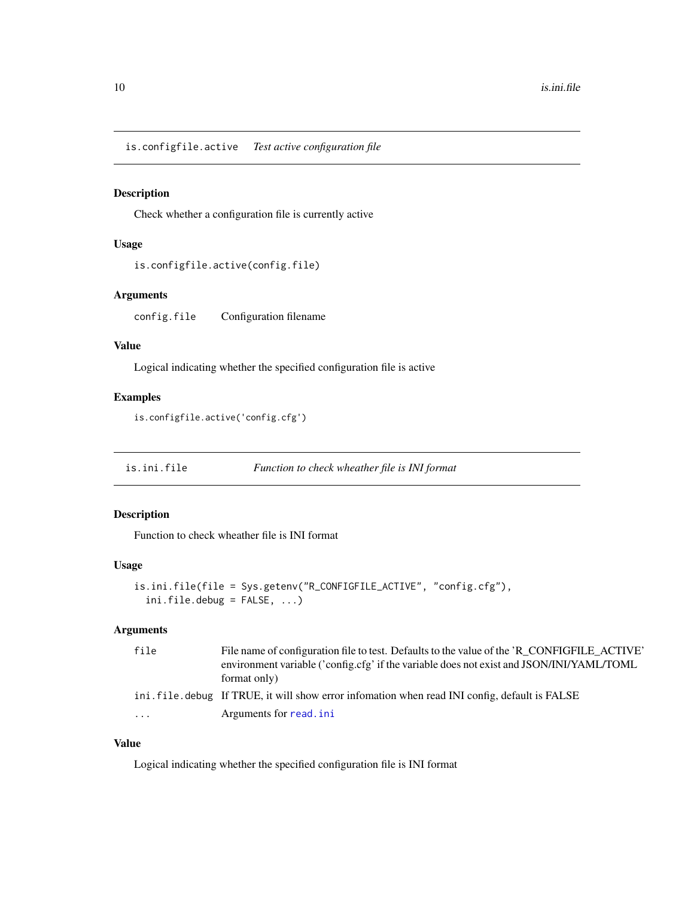<span id="page-9-0"></span>is.configfile.active *Test active configuration file*

## Description

Check whether a configuration file is currently active

#### Usage

```
is.configfile.active(config.file)
```
## Arguments

config.file Configuration filename

## Value

Logical indicating whether the specified configuration file is active

#### Examples

```
is.configfile.active('config.cfg')
```
<span id="page-9-1"></span>

|  | is.ini.file | Function to check wheather file is INI format |  |  |  |
|--|-------------|-----------------------------------------------|--|--|--|
|--|-------------|-----------------------------------------------|--|--|--|

## Description

Function to check wheather file is INI format

#### Usage

```
is.ini.file(file = Sys.getenv("R_CONFIGFILE_ACTIVE", "config.cfg"),
 ini.file.debug = FALSE, ...)
```
## Arguments

| file     | File name of configuration file to test. Defaults to the value of the 'R_CONFIGFILE_ACTIVE'<br>environment variable ('config.cfg' if the variable does not exist and JSON/INI/YAML/TOML |
|----------|-----------------------------------------------------------------------------------------------------------------------------------------------------------------------------------------|
|          | format only)                                                                                                                                                                            |
|          | ini, file, debug If TRUE, it will show error infomation when read INI config, default is FALSE                                                                                          |
| $\cdots$ | Arguments for read. ini                                                                                                                                                                 |

## Value

Logical indicating whether the specified configuration file is INI format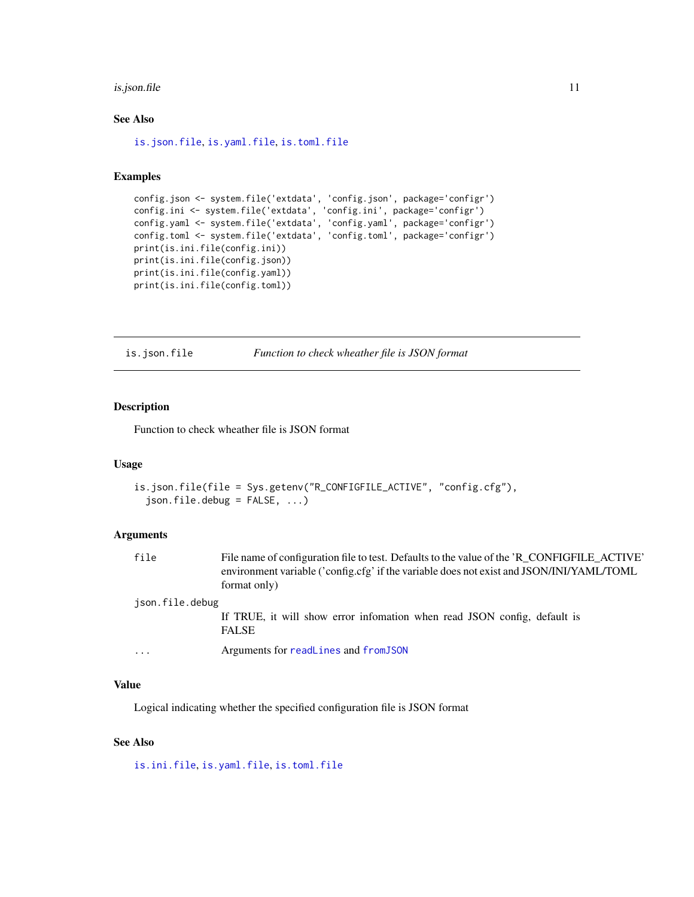## <span id="page-10-0"></span>is.json.file 11

## See Also

[is.json.file](#page-10-1), [is.yaml.file](#page-12-1), [is.toml.file](#page-11-1)

#### Examples

```
config.json <- system.file('extdata', 'config.json', package='configr')
config.ini <- system.file('extdata', 'config.ini', package='configr')
config.yaml <- system.file('extdata', 'config.yaml', package='configr')
config.toml <- system.file('extdata', 'config.toml', package='configr')
print(is.ini.file(config.ini))
print(is.ini.file(config.json))
print(is.ini.file(config.yaml))
print(is.ini.file(config.toml))
```
<span id="page-10-1"></span>is.json.file *Function to check wheather file is JSON format*

#### Description

Function to check wheather file is JSON format

#### Usage

```
is.json.file(file = Sys.getenv("R_CONFIGFILE_ACTIVE", "config.cfg"),
  json.file.debug = FALSE, ...)
```
#### Arguments

| file            | File name of configuration file to test. Defaults to the value of the 'R_CONFIGFILE_ACTIVE'<br>environment variable ('config.cfg' if the variable does not exist and JSON/INI/YAML/TOML<br>format only) |  |
|-----------------|---------------------------------------------------------------------------------------------------------------------------------------------------------------------------------------------------------|--|
| json.file.debug |                                                                                                                                                                                                         |  |
|                 | If TRUE, it will show error infomation when read JSON config, default is<br><b>FALSE</b>                                                                                                                |  |
| $\ddotsc$       | Arguments for readLines and from JSON                                                                                                                                                                   |  |

#### Value

Logical indicating whether the specified configuration file is JSON format

## See Also

[is.ini.file](#page-9-1), [is.yaml.file](#page-12-1), [is.toml.file](#page-11-1)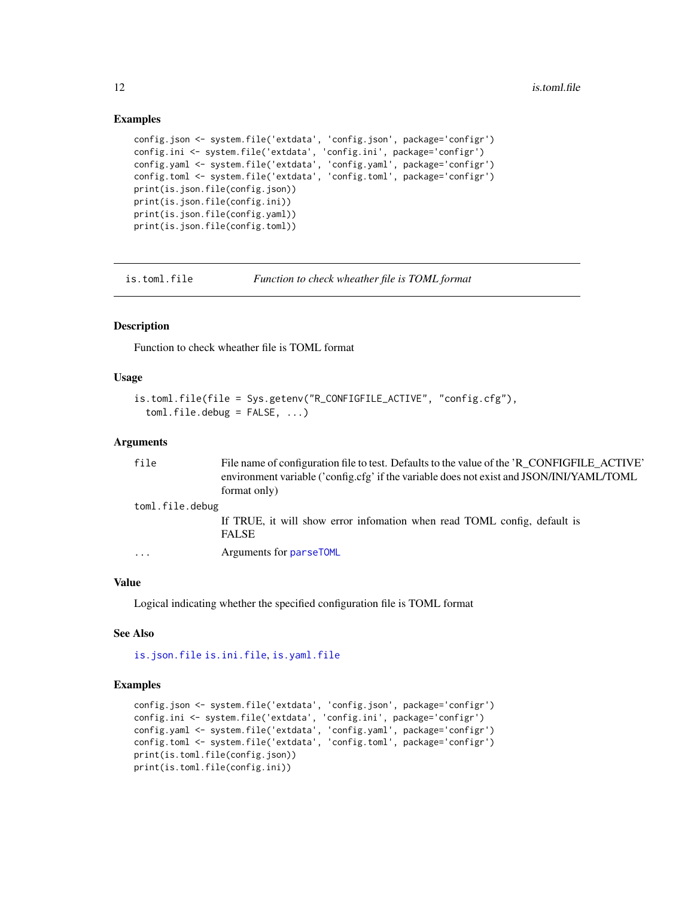#### Examples

```
config.json <- system.file('extdata', 'config.json', package='configr')
config.ini <- system.file('extdata', 'config.ini', package='configr')
config.yaml <- system.file('extdata', 'config.yaml', package='configr')
config.toml <- system.file('extdata', 'config.toml', package='configr')
print(is.json.file(config.json))
print(is.json.file(config.ini))
print(is.json.file(config.yaml))
print(is.json.file(config.toml))
```
<span id="page-11-1"></span>

is.toml.file *Function to check wheather file is TOML format*

#### Description

Function to check wheather file is TOML format

#### Usage

```
is.toml.file(file = Sys.getenv("R_CONFIGFILE_ACTIVE", "config.cfg"),
  toml.file.debug = FALSE, ...)
```
#### Arguments

| file            | File name of configuration file to test. Defaults to the value of the 'R_CONFIGFILE_ACTIVE'<br>environment variable ('config.cfg' if the variable does not exist and JSON/INI/YAML/TOML<br>format only) |
|-----------------|---------------------------------------------------------------------------------------------------------------------------------------------------------------------------------------------------------|
| toml.file.debug |                                                                                                                                                                                                         |
|                 | If TRUE, it will show error information when read TOML config, default is<br><b>FALSE</b>                                                                                                               |
| $\cdots$        | Arguments for parseTOML                                                                                                                                                                                 |

#### Value

Logical indicating whether the specified configuration file is TOML format

#### See Also

[is.json.file](#page-10-1) [is.ini.file](#page-9-1), [is.yaml.file](#page-12-1)

```
config.json <- system.file('extdata', 'config.json', package='configr')
config.ini <- system.file('extdata', 'config.ini', package='configr')
config.yaml <- system.file('extdata', 'config.yaml', package='configr')
config.toml <- system.file('extdata', 'config.toml', package='configr')
print(is.toml.file(config.json))
print(is.toml.file(config.ini))
```
<span id="page-11-0"></span>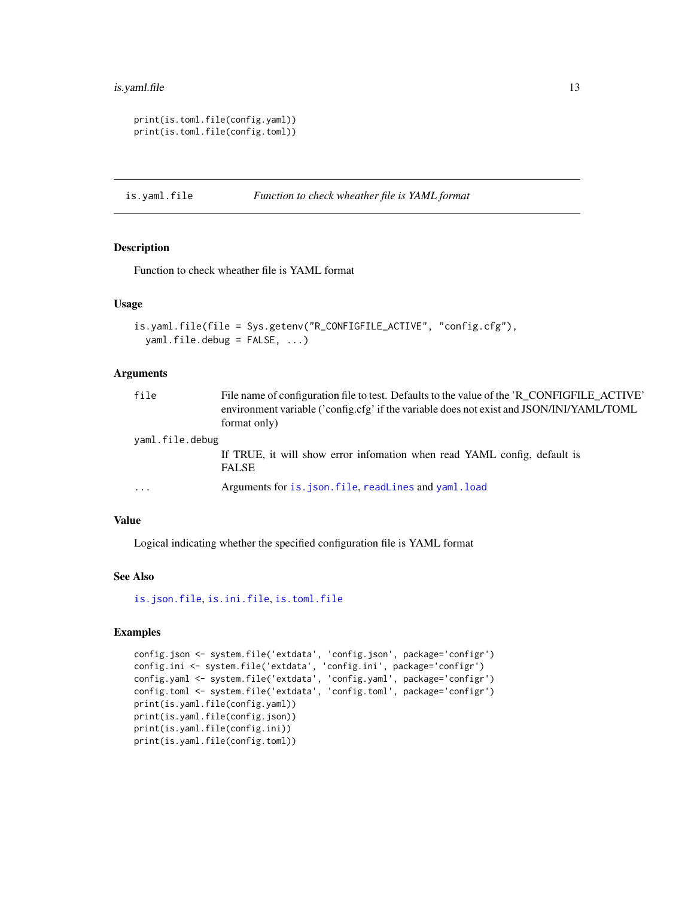## <span id="page-12-0"></span>is.yaml.file 13

```
print(is.toml.file(config.yaml))
print(is.toml.file(config.toml))
```
<span id="page-12-1"></span>is.yaml.file *Function to check wheather file is YAML format*

#### Description

Function to check wheather file is YAML format

#### Usage

```
is.yaml.file(file = Sys.getenv("R_CONFIGFILE_ACTIVE", "config.cfg"),
 yaml.file.debug = FALSE, ...)
```
#### Arguments

| file            | File name of configuration file to test. Defaults to the value of the 'R_CONFIGFILE_ACTIVE'<br>environment variable ('config.cfg' if the variable does not exist and JSON/INI/YAML/TOML<br>format only) |  |
|-----------------|---------------------------------------------------------------------------------------------------------------------------------------------------------------------------------------------------------|--|
| yaml.file.debug |                                                                                                                                                                                                         |  |
|                 | If TRUE, it will show error information when read YAML config, default is<br><b>FALSE</b>                                                                                                               |  |
| $\cdot$         | Arguments for is. json. file, readLines and yaml. load                                                                                                                                                  |  |

#### Value

Logical indicating whether the specified configuration file is YAML format

#### See Also

[is.json.file](#page-10-1), [is.ini.file](#page-9-1), [is.toml.file](#page-11-1)

```
config.json <- system.file('extdata', 'config.json', package='configr')
config.ini <- system.file('extdata', 'config.ini', package='configr')
config.yaml <- system.file('extdata', 'config.yaml', package='configr')
config.toml <- system.file('extdata', 'config.toml', package='configr')
print(is.yaml.file(config.yaml))
print(is.yaml.file(config.json))
print(is.yaml.file(config.ini))
print(is.yaml.file(config.toml))
```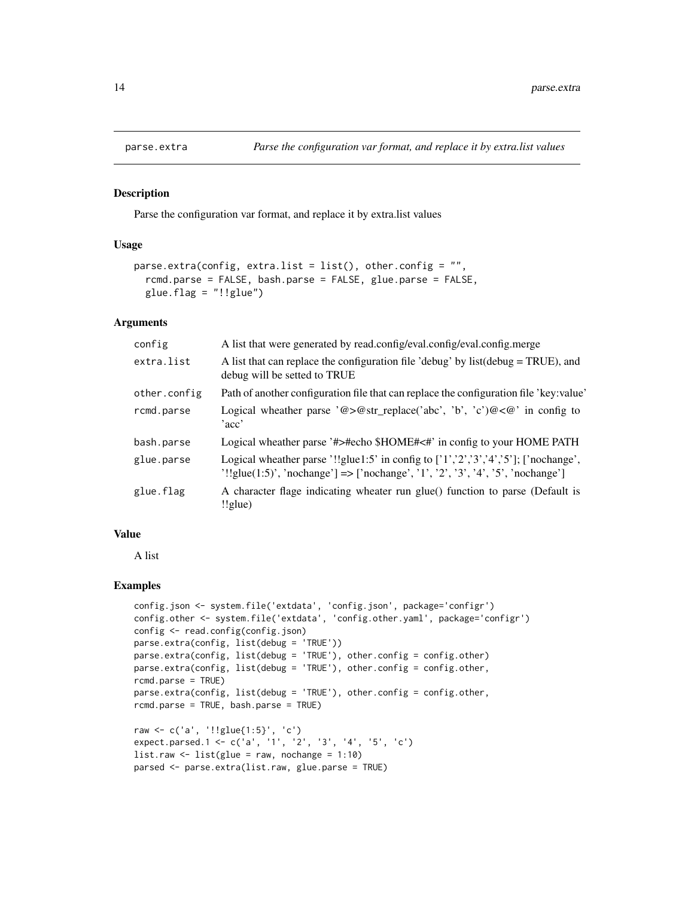<span id="page-13-0"></span>

#### Description

Parse the configuration var format, and replace it by extra.list values

#### Usage

```
parse.extra(config, extra.list = list(), other.config = ",
  rcmd.parse = FALSE, bash.parse = FALSE, glue.parse = FALSE,
  glue.flag = "!!glue")
```
#### Arguments

| config       | A list that were generated by read.config/eval.config/eval.config.merge                                                                                                     |
|--------------|-----------------------------------------------------------------------------------------------------------------------------------------------------------------------------|
| extra.list   | A list that can replace the configuration file 'debug' by list $(debug = TRUE)$ , and<br>debug will be setted to TRUE                                                       |
| other.config | Path of another configuration file that can replace the configuration file 'key:value'                                                                                      |
| rcmd.parse   | Logical wheather parse '@>@str_replace('abc', 'b', 'c')@<@' in config to<br>'acc'                                                                                           |
| bash.parse   | Logical wheather parse '#>#echo \$HOME#<#' in config to your HOME PATH                                                                                                      |
| glue.parse   | Logical wheather parse '!!glue1:5' in config to $[1', 2', 3', 4', 5']$ ; ['nochange',<br>$'!!$ glue(1:5)', 'nochange'] => ['nochange', '1', '2', '3', '4', '5', 'nochange'] |
| glue.flag    | A character flage indicating wheater run glue() function to parse (Default is<br>$!$ lglue)                                                                                 |

#### Value

A list

```
config.json <- system.file('extdata', 'config.json', package='configr')
config.other <- system.file('extdata', 'config.other.yaml', package='configr')
config <- read.config(config.json)
parse.extra(config, list(debug = 'TRUE'))
parse.extra(config, list(debug = 'TRUE'), other.config = config.other)
parse.extra(config, list(debug = 'TRUE'), other.config = config.other,
rcmd.parse = TRUE)
parse.extra(config, list(debug = 'TRUE'), other.config = config.other,
rcmd.parse = TRUE, bash.parse = TRUE)
raw <- c('a', '!!glue{1:5}', 'c')
expect.parsed.1 <- c('a', '1', '2', '3', '4', '5', 'c')
list.raw \le list(glue = raw, nochange = 1:10)
parsed <- parse.extra(list.raw, glue.parse = TRUE)
```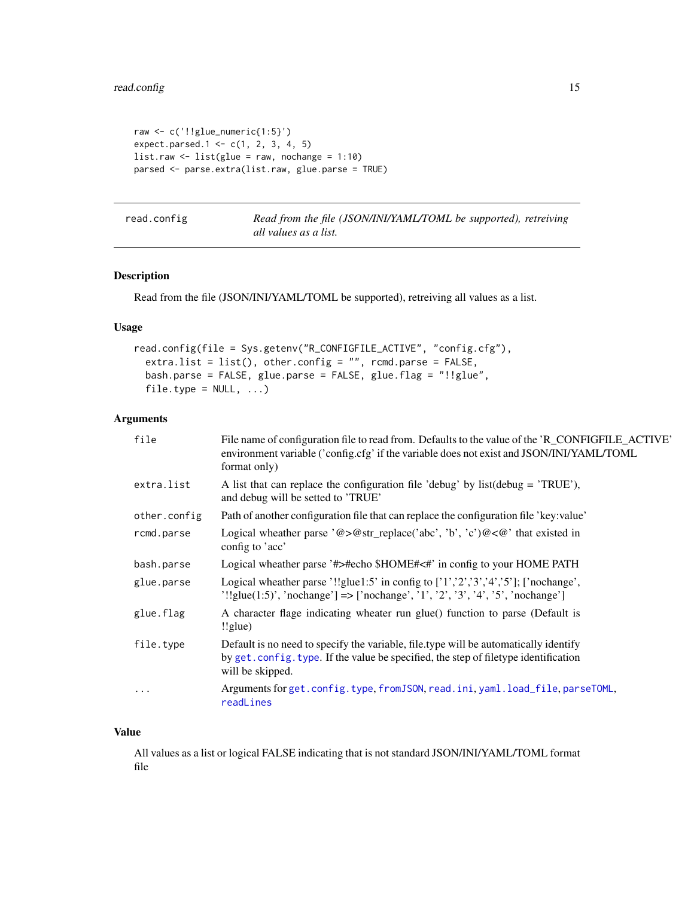```
raw <- c('!!glue_numeric{1:5}')
expect.parsed.1 < -c(1, 2, 3, 4, 5)list.raw \leq - list(glue = raw, nochange = 1:10)
parsed <- parse.extra(list.raw, glue.parse = TRUE)
```
<span id="page-14-1"></span>read.config *Read from the file (JSON/INI/YAML/TOML be supported), retreiving all values as a list.*

## Description

Read from the file (JSON/INI/YAML/TOML be supported), retreiving all values as a list.

## Usage

```
read.config(file = Sys.getenv("R_CONFIGFILE_ACTIVE", "config.cfg"),
 extra.list = list(), other.config = ", rcmd.parse = FALSE,
 bash.parse = FALSE, glue.parse = FALSE, glue.flag = "!!glue",
 file_type = NULL, ...)
```
## Arguments

| file         | File name of configuration file to read from. Defaults to the value of the 'R_CONFIGFILE_ACTIVE'<br>environment variable ('config.cfg' if the variable does not exist and JSON/INI/YAML/TOML<br>format only) |
|--------------|--------------------------------------------------------------------------------------------------------------------------------------------------------------------------------------------------------------|
| extra.list   | A list that can replace the configuration file 'debug' by list (debug $=$ 'TRUE'),<br>and debug will be setted to 'TRUE'                                                                                     |
| other.config | Path of another configuration file that can replace the configuration file 'key:value'                                                                                                                       |
| rcmd.parse   | Logical wheather parse '@>@str_replace('abc', 'b', 'c')@<@' that existed in<br>config to 'acc'                                                                                                               |
| bash.parse   | Logical wheather parse '#>#echo \$HOME#<#' in config to your HOME PATH                                                                                                                                       |
| glue.parse   | Logical wheather parse '!!glue1:5' in config to ['1','2','3','4','5']; ['nochange',<br>'!!glue(1:5)', 'nochange'] => ['nochange', '1', '2', '3', '4', '5', 'nochange']                                       |
| glue.flag    | A character flage indicating wheater run glue() function to parse (Default is<br>$!$ lglue)                                                                                                                  |
| file.type    | Default is no need to specify the variable, file type will be automatically identify<br>by get. config. type. If the value be specified, the step of filetype identification                                 |
|              | will be skipped.                                                                                                                                                                                             |
| $\cdots$     | Arguments for get.config.type, from JSON, read.ini, yaml.load_file, parseTOML,<br>readLines                                                                                                                  |

#### Value

All values as a list or logical FALSE indicating that is not standard JSON/INI/YAML/TOML format file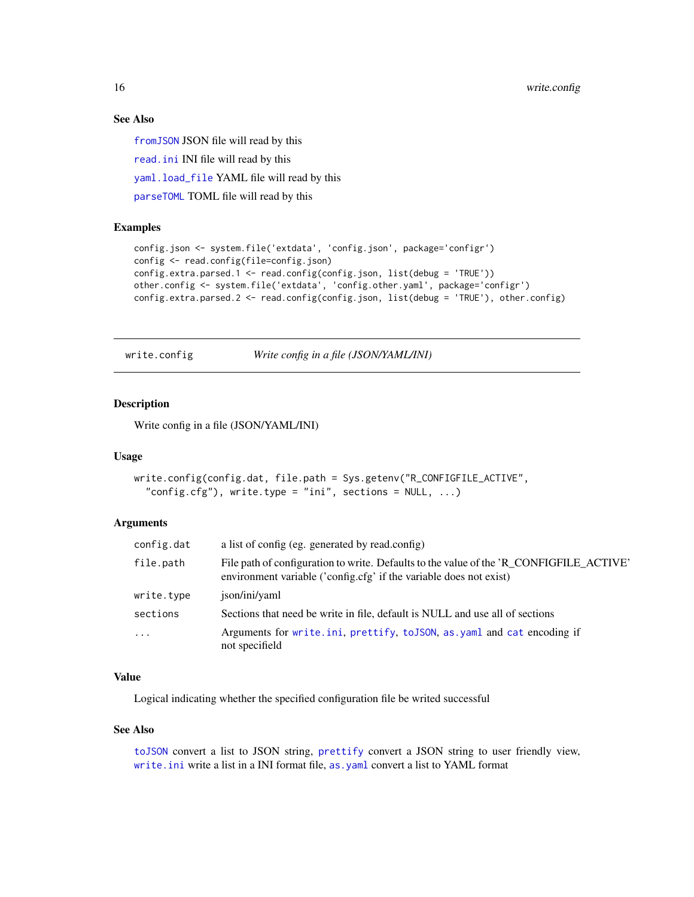## See Also

[fromJSON](#page-0-0) JSON file will read by this [read.ini](#page-0-0) INI file will read by this

[yaml.load\\_file](#page-0-0) YAML file will read by this

[parseTOML](#page-0-0) TOML file will read by this

## Examples

```
config.json <- system.file('extdata', 'config.json', package='configr')
config <- read.config(file=config.json)
config.extra.parsed.1 <- read.config(config.json, list(debug = 'TRUE'))
other.config <- system.file('extdata', 'config.other.yaml', package='configr')
config.extra.parsed.2 <- read.config(config.json, list(debug = 'TRUE'), other.config)
```
<span id="page-15-1"></span>write.config *Write config in a file (JSON/YAML/INI)*

## Description

Write config in a file (JSON/YAML/INI)

#### Usage

```
write.config(config.dat, file.path = Sys.getenv("R_CONFIGFILE_ACTIVE",
  "config.cfg"), write.type = "ini", sections = NULL, ...)
```
#### Arguments

| config.dat | a list of config (eg. generated by read.config)                                                                                                               |
|------------|---------------------------------------------------------------------------------------------------------------------------------------------------------------|
| file.path  | File path of configuration to write. Defaults to the value of the 'R_CONFIGFILE_ACTIVE'<br>environment variable ('config.cfg' if the variable does not exist) |
| write.type | json/ini/yaml                                                                                                                                                 |
| sections   | Sections that need be write in file, default is NULL and use all of sections                                                                                  |
| $\ddots$   | Arguments for write.ini, prettify, to JSON, as yaml and cat encoding if<br>not specifield                                                                     |

## Value

Logical indicating whether the specified configuration file be writed successful

#### See Also

[toJSON](#page-0-0) convert a list to JSON string, [prettify](#page-0-0) convert a JSON string to user friendly view, [write.ini](#page-0-0) write a list in a INI format file, [as.yaml](#page-0-0) convert a list to YAML format

<span id="page-15-0"></span>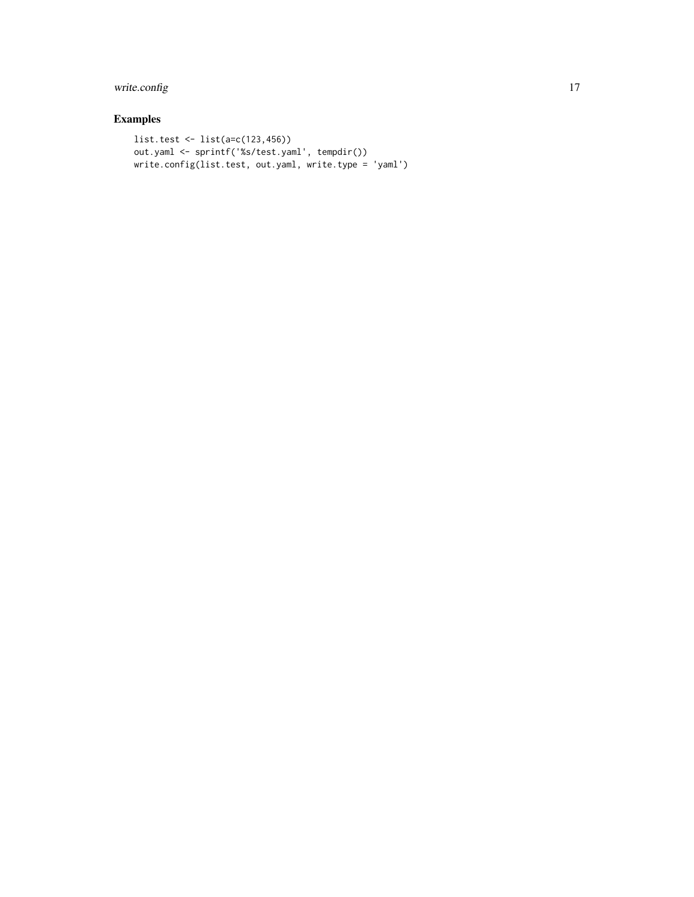## write.config 17

```
list.test <- list(a=c(123,456))
out.yaml <- sprintf('%s/test.yaml', tempdir())
write.config(list.test, out.yaml, write.type = 'yaml')
```